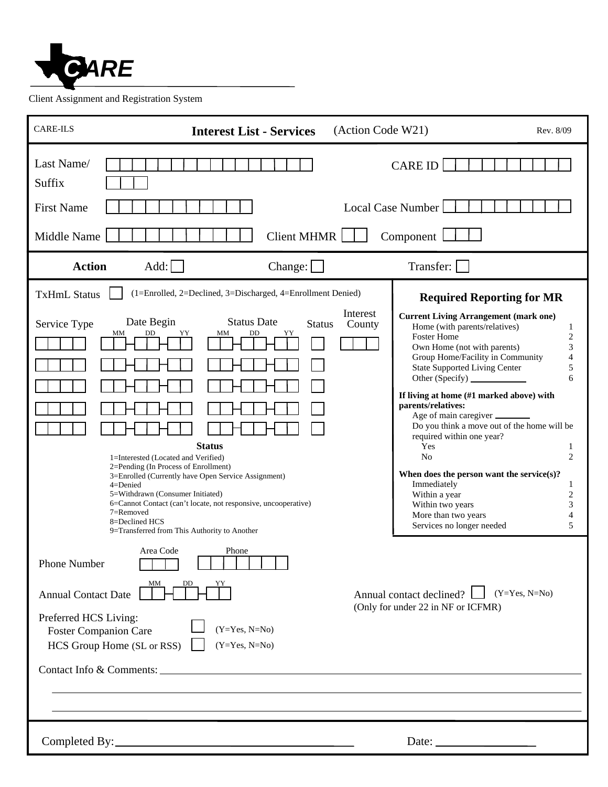

Client Assignment and Registration System

| <b>CARE-ILS</b><br><b>Interest List - Services</b>                                                                                                                                                                                                                                                                                                                                                                                                                                                                                                                                                                                                                                                                                                                              | (Action Code W21)<br>Rev. 8/09                                                                                                                                                                                                                                                                                                                                                                                                                                                                                                                                                                                                                                                                                                      |                                                                                                                                           |
|---------------------------------------------------------------------------------------------------------------------------------------------------------------------------------------------------------------------------------------------------------------------------------------------------------------------------------------------------------------------------------------------------------------------------------------------------------------------------------------------------------------------------------------------------------------------------------------------------------------------------------------------------------------------------------------------------------------------------------------------------------------------------------|-------------------------------------------------------------------------------------------------------------------------------------------------------------------------------------------------------------------------------------------------------------------------------------------------------------------------------------------------------------------------------------------------------------------------------------------------------------------------------------------------------------------------------------------------------------------------------------------------------------------------------------------------------------------------------------------------------------------------------------|-------------------------------------------------------------------------------------------------------------------------------------------|
| Last Name/<br>Suffix<br><b>First Name</b><br>Middle Name                                                                                                                                                                                                                                                                                                                                                                                                                                                                                                                                                                                                                                                                                                                        | <b>CARE ID</b><br>Local Case Number<br>Client MHMR    <br>Component $\Box$                                                                                                                                                                                                                                                                                                                                                                                                                                                                                                                                                                                                                                                          |                                                                                                                                           |
| Add:<br><b>Action</b><br>Change:                                                                                                                                                                                                                                                                                                                                                                                                                                                                                                                                                                                                                                                                                                                                                | Transfer:                                                                                                                                                                                                                                                                                                                                                                                                                                                                                                                                                                                                                                                                                                                           |                                                                                                                                           |
| <b>TxHmL Status</b><br>(1=Enrolled, 2=Declined, 3=Discharged, 4=Enrollment Denied)<br>Date Begin<br><b>Status Date</b><br>Service Type<br>DD<br>MM<br>DD<br>YY<br>MM<br>YY<br><b>Status</b><br>1=Interested (Located and Verified)<br>2=Pending (In Process of Enrollment)<br>3=Enrolled (Currently have Open Service Assignment)<br>$4 = Denied$<br>5=Withdrawn (Consumer Initiated)<br>6=Cannot Contact (can't locate, not responsive, uncooperative)<br>7=Removed<br>8=Declined HCS<br>9=Transferred from This Authority to Another<br>Area Code<br>Phone<br>Phone Number<br>MМ<br>DD<br><b>Annual Contact Date</b><br>Preferred HCS Living:<br>$(Y=Yes, N=No)$<br><b>Foster Companion Care</b><br>HCS Group Home (SL or RSS)<br>$(Y=Yes, N=No)$<br>Contact Info & Comments: | <b>Required Reporting for MR</b><br>Interest<br><b>Current Living Arrangement (mark one)</b><br><b>Status</b><br>County<br>Home (with parents/relatives)<br>Foster Home<br>Own Home (not with parents)<br>Group Home/Facility in Community<br><b>State Supported Living Center</b><br>Other (Specify)<br>If living at home (#1 marked above) with<br>parents/relatives:<br>Age of main caregiver<br>Do you think a move out of the home will be<br>required within one year?<br>Yes<br>No<br>When does the person want the service(s)?<br>Immediately<br>Within a year<br>Within two years<br>More than two years<br>Services no longer needed<br>$(Y=Yes, N=No)$<br>Annual contact declined?<br>(Only for under 22 in NF or ICFMR) | $\mathbf{1}$<br>$\overline{2}$<br>3<br>$\overline{4}$<br>5<br>6<br>1<br>2<br>1<br>$\overline{c}$<br>$\mathfrak{Z}$<br>$\overline{4}$<br>5 |
|                                                                                                                                                                                                                                                                                                                                                                                                                                                                                                                                                                                                                                                                                                                                                                                 | Date: $\frac{1}{\sqrt{1-\frac{1}{2}} \cdot \frac{1}{2}}$                                                                                                                                                                                                                                                                                                                                                                                                                                                                                                                                                                                                                                                                            |                                                                                                                                           |